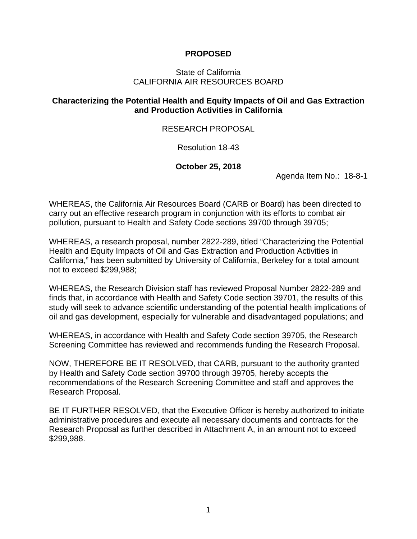### **PROPOSED**

#### State of California CALIFORNIA AIR RESOURCES BOARD

### **Characterizing the Potential Health and Equity Impacts of Oil and Gas Extraction and Production Activities in California**

#### RESEARCH PROPOSAL

#### Resolution 18-43

#### **October 25, 2018**

Agenda Item No.: 18-8-1

WHEREAS, the California Air Resources Board (CARB or Board) has been directed to carry out an effective research program in conjunction with its efforts to combat air pollution, pursuant to Health and Safety Code sections 39700 through 39705;

WHEREAS, a research proposal, number 2822-289, titled "Characterizing the Potential Health and Equity Impacts of Oil and Gas Extraction and Production Activities in California," has been submitted by University of California, Berkeley for a total amount not to exceed \$299,988;

WHEREAS, the Research Division staff has reviewed Proposal Number 2822-289 and finds that, in accordance with Health and Safety Code section 39701, the results of this study will seek to advance scientific understanding of the potential health implications of oil and gas development, especially for vulnerable and disadvantaged populations; and

WHEREAS, in accordance with Health and Safety Code section 39705, the Research Screening Committee has reviewed and recommends funding the Research Proposal.

NOW, THEREFORE BE IT RESOLVED, that CARB, pursuant to the authority granted by Health and Safety Code section 39700 through 39705, hereby accepts the recommendations of the Research Screening Committee and staff and approves the Research Proposal.

BE IT FURTHER RESOLVED, that the Executive Officer is hereby authorized to initiate administrative procedures and execute all necessary documents and contracts for the Research Proposal as further described in Attachment A, in an amount not to exceed \$299,988.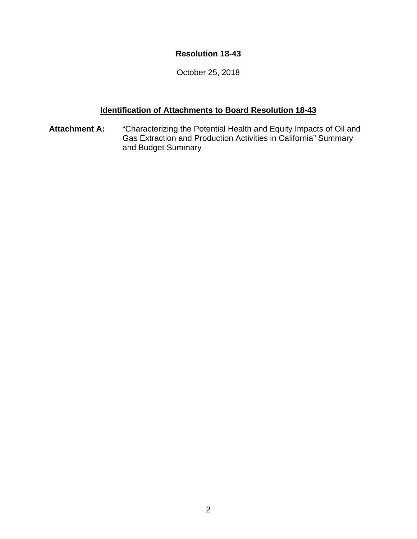## **Resolution 18-43**

October 25, 2018

# **Identification of Attachments to Board Resolution 18-43**

**Attachment A:** "Characterizing the Potential Health and Equity Impacts of Oil and Gas Extraction and Production Activities in California" Summary and Budget Summary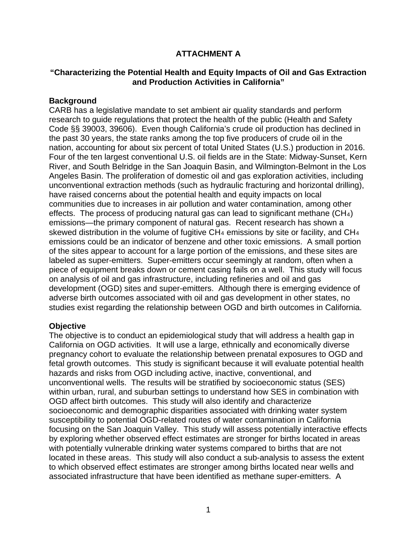## **ATTACHMENT A**

### **"Characterizing the Potential Health and Equity Impacts of Oil and Gas Extraction and Production Activities in California"**

### **Background**

CARB has a legislative mandate to set ambient air quality standards and perform research to guide regulations that protect the health of the public (Health and Safety Code §§ 39003, 39606). Even though California's crude oil production has declined in the past 30 years, the state ranks among the top five producers of crude oil in the nation, accounting for about six percent of total United States (U.S.) production in 2016. Four of the ten largest conventional U.S. oil fields are in the State: Midway-Sunset, Kern River, and South Belridge in the San Joaquin Basin, and Wilmington-Belmont in the Los Angeles Basin. The proliferation of domestic oil and gas exploration activities, including unconventional extraction methods (such as hydraulic fracturing and horizontal drilling), have raised concerns about the potential health and equity impacts on local communities due to increases in air pollution and water contamination, among other effects. The process of producing natural gas can lead to significant methane (CH4) emissions—the primary component of natural gas. Recent research has shown a skewed distribution in the volume of fugitive CH<sub>4</sub> emissions by site or facility, and CH<sub>4</sub> emissions could be an indicator of benzene and other toxic emissions. A small portion of the sites appear to account for a large portion of the emissions, and these sites are labeled as super-emitters. Super-emitters occur seemingly at random, often when a piece of equipment breaks down or cement casing fails on a well. This study will focus on analysis of oil and gas infrastructure, including refineries and oil and gas development (OGD) sites and super-emitters. Although there is emerging evidence of adverse birth outcomes associated with oil and gas development in other states, no studies exist regarding the relationship between OGD and birth outcomes in California.

### **Objective**

The objective is to conduct an epidemiological study that will address a health gap in California on OGD activities. It will use a large, ethnically and economically diverse pregnancy cohort to evaluate the relationship between prenatal exposures to OGD and fetal growth outcomes. This study is significant because it will evaluate potential health hazards and risks from OGD including active, inactive, conventional, and unconventional wells. The results will be stratified by socioeconomic status (SES) within urban, rural, and suburban settings to understand how SES in combination with OGD affect birth outcomes. This study will also identify and characterize socioeconomic and demographic disparities associated with drinking water system susceptibility to potential OGD-related routes of water contamination in California focusing on the San Joaquin Valley. This study will assess potentially interactive effects by exploring whether observed effect estimates are stronger for births located in areas with potentially vulnerable drinking water systems compared to births that are not located in these areas. This study will also conduct a sub-analysis to assess the extent to which observed effect estimates are stronger among births located near wells and associated infrastructure that have been identified as methane super-emitters. A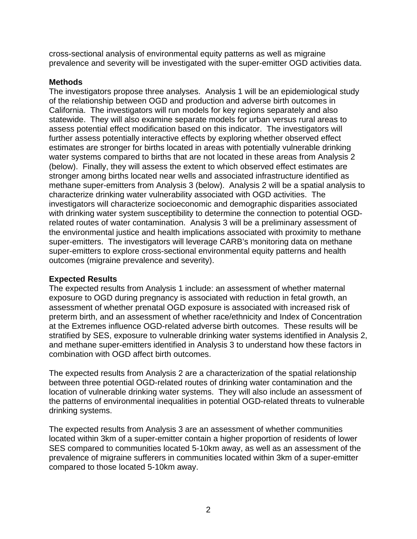cross-sectional analysis of environmental equity patterns as well as migraine prevalence and severity will be investigated with the super-emitter OGD activities data.

### **Methods**

The investigators propose three analyses. Analysis 1 will be an epidemiological study of the relationship between OGD and production and adverse birth outcomes in California. The investigators will run models for key regions separately and also statewide. They will also examine separate models for urban versus rural areas to assess potential effect modification based on this indicator. The investigators will further assess potentially interactive effects by exploring whether observed effect estimates are stronger for births located in areas with potentially vulnerable drinking water systems compared to births that are not located in these areas from Analysis 2 (below). Finally, they will assess the extent to which observed effect estimates are stronger among births located near wells and associated infrastructure identified as methane super-emitters from Analysis 3 (below). Analysis 2 will be a spatial analysis to characterize drinking water vulnerability associated with OGD activities. The investigators will characterize socioeconomic and demographic disparities associated with drinking water system susceptibility to determine the connection to potential OGDrelated routes of water contamination. Analysis 3 will be a preliminary assessment of the environmental justice and health implications associated with proximity to methane super-emitters. The investigators will leverage CARB's monitoring data on methane super-emitters to explore cross-sectional environmental equity patterns and health outcomes (migraine prevalence and severity).

### **Expected Results**

The expected results from Analysis 1 include: an assessment of whether maternal exposure to OGD during pregnancy is associated with reduction in fetal growth, an assessment of whether prenatal OGD exposure is associated with increased risk of preterm birth, and an assessment of whether race/ethnicity and Index of Concentration at the Extremes influence OGD-related adverse birth outcomes. These results will be stratified by SES, exposure to vulnerable drinking water systems identified in Analysis 2, and methane super-emitters identified in Analysis 3 to understand how these factors in combination with OGD affect birth outcomes.

The expected results from Analysis 2 are a characterization of the spatial relationship between three potential OGD-related routes of drinking water contamination and the location of vulnerable drinking water systems. They will also include an assessment of the patterns of environmental inequalities in potential OGD-related threats to vulnerable drinking systems.

The expected results from Analysis 3 are an assessment of whether communities located within 3km of a super-emitter contain a higher proportion of residents of lower SES compared to communities located 5-10km away, as well as an assessment of the prevalence of migraine sufferers in communities located within 3km of a super-emitter compared to those located 5-10km away.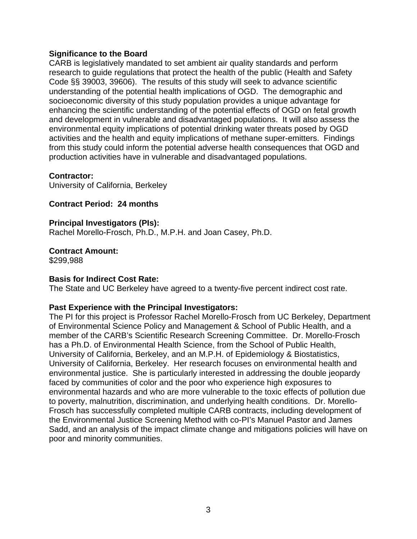#### **Significance to the Board**

CARB is legislatively mandated to set ambient air quality standards and perform research to guide regulations that protect the health of the public (Health and Safety Code §§ 39003, 39606). The results of this study will seek to advance scientific understanding of the potential health implications of OGD. The demographic and socioeconomic diversity of this study population provides a unique advantage for enhancing the scientific understanding of the potential effects of OGD on fetal growth and development in vulnerable and disadvantaged populations. It will also assess the environmental equity implications of potential drinking water threats posed by OGD activities and the health and equity implications of methane super-emitters. Findings from this study could inform the potential adverse health consequences that OGD and production activities have in vulnerable and disadvantaged populations.

#### **Contractor:**

University of California, Berkeley

#### **Contract Period: 24 months**

#### **Principal Investigators (PIs):**

Rachel Morello-Frosch, Ph.D., M.P.H. and Joan Casey, Ph.D.

#### **Contract Amount:**

\$299,988

#### **Basis for Indirect Cost Rate:**

The State and UC Berkeley have agreed to a twenty-five percent indirect cost rate.

#### **Past Experience with the Principal Investigators:**

The PI for this project is Professor Rachel Morello-Frosch from UC Berkeley, Department of Environmental Science Policy and Management & School of Public Health, and a member of the CARB's Scientific Research Screening Committee. Dr. Morello-Frosch has a Ph.D. of Environmental Health Science, from the School of Public Health, University of California, Berkeley, and an M.P.H. of Epidemiology & Biostatistics, University of California, Berkeley. Her research focuses on environmental health and environmental justice. She is particularly interested in addressing the double jeopardy faced by communities of color and the poor who experience high exposures to environmental hazards and who are more vulnerable to the toxic effects of pollution due to poverty, malnutrition, discrimination, and underlying health conditions. Dr. Morello-Frosch has successfully completed multiple CARB contracts, including development of the Environmental Justice Screening Method with co-PI's Manuel Pastor and James Sadd, and an analysis of the impact climate change and mitigations policies will have on poor and minority communities.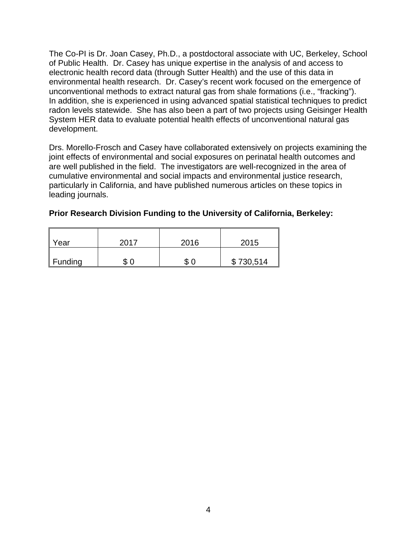The Co-PI is Dr. Joan Casey, Ph.D., a postdoctoral associate with UC, Berkeley, School of Public Health. Dr. Casey has unique expertise in the analysis of and access to electronic health record data (through Sutter Health) and the use of this data in environmental health research. Dr. Casey's recent work focused on the emergence of unconventional methods to extract natural gas from shale formations (i.e., "fracking"). In addition, she is experienced in using advanced spatial statistical techniques to predict radon levels statewide. She has also been a part of two projects using Geisinger Health System HER data to evaluate potential health effects of unconventional natural gas development.

Drs. Morello-Frosch and Casey have collaborated extensively on projects examining the joint effects of environmental and social exposures on perinatal health outcomes and are well published in the field. The investigators are well-recognized in the area of cumulative environmental and social impacts and environmental justice research, particularly in California, and have published numerous articles on these topics in leading journals.

| Prior Research Division Funding to the University of California, Berkeley: |  |  |
|----------------------------------------------------------------------------|--|--|
|                                                                            |  |  |

| Year           | 2017 | 2016 | 2015      |
|----------------|------|------|-----------|
| <b>Funding</b> |      | \$0  | \$730,514 |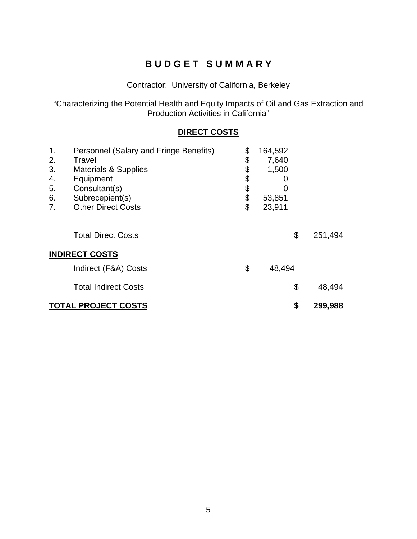# **B U D G E T S U M M A R Y**

Contractor: University of California, Berkeley

"Characterizing the Potential Health and Equity Impacts of Oil and Gas Extraction and Production Activities in California"

## **DIRECT COSTS**

| 1.<br>2.<br>3.<br>4.<br>5.<br>6.<br>7. | Personnel (Salary and Fringe Benefits)<br>Travel<br><b>Materials &amp; Supplies</b><br>Equipment<br>Consultant(s)<br>Subrecepient(s)<br><b>Other Direct Costs</b> | \$<br>\$<br>\$<br>\$<br>\$<br>\$<br>\$ | 164,592<br>7,640<br>1,500<br>O<br>O<br>53,851<br>23,911 |    |                |
|----------------------------------------|-------------------------------------------------------------------------------------------------------------------------------------------------------------------|----------------------------------------|---------------------------------------------------------|----|----------------|
|                                        | <b>Total Direct Costs</b>                                                                                                                                         |                                        |                                                         | \$ | 251,494        |
| <b>INDIRECT COSTS</b>                  |                                                                                                                                                                   |                                        |                                                         |    |                |
|                                        | Indirect (F&A) Costs                                                                                                                                              | \$                                     | 48,494                                                  |    |                |
|                                        | <b>Total Indirect Costs</b>                                                                                                                                       |                                        |                                                         | \$ | 48,494         |
|                                        | <b>TOTAL PROJECT COSTS</b>                                                                                                                                        |                                        |                                                         |    | <u>299,988</u> |